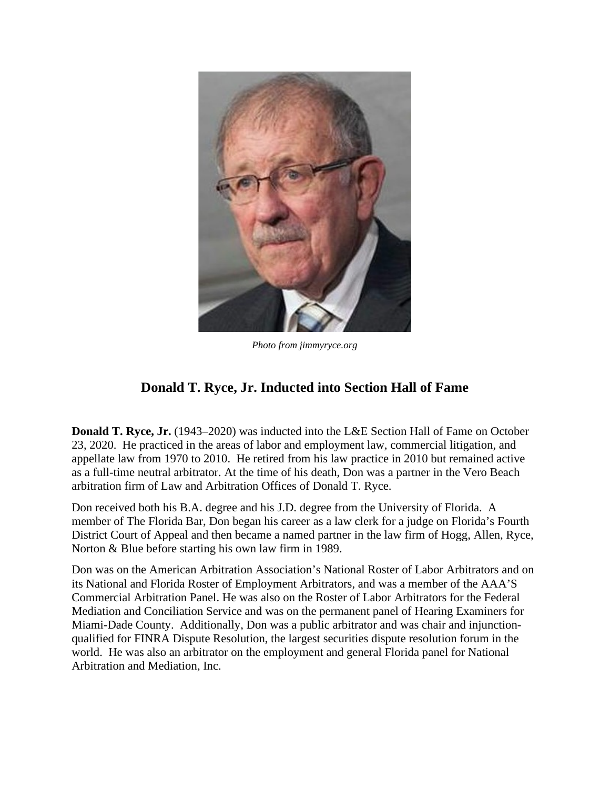

*Photo from jimmyryce.org*

## **Donald T. Ryce, Jr. Inducted into Section Hall of Fame**

**Donald T. Ryce, Jr.** (1943–2020) was inducted into the L&E Section Hall of Fame on October 23, 2020. He practiced in the areas of labor and employment law, commercial litigation, and appellate law from 1970 to 2010.He retired from his law practice in 2010 but remained active as a full-time neutral arbitrator. At the time of his death, Don was a partner in the Vero Beach arbitration firm of Law and Arbitration Offices of Donald T. Ryce.

Don received both his B.A. degree and his J.D. degree from the University of Florida.A member of The Florida Bar, Don began his career as a law clerk for a judge on Florida's Fourth District Court of Appeal and then became a named partner in the law firm of Hogg, Allen, Ryce, Norton & Blue before starting his own law firm in 1989.

Don was on the American Arbitration Association's National Roster of Labor Arbitrators and on its National and Florida Roster of Employment Arbitrators, and was a member of the AAA'S Commercial Arbitration Panel. He was also on the Roster of Labor Arbitrators for the Federal Mediation and Conciliation Service and was on the permanent panel of Hearing Examiners for Miami-Dade County. Additionally, Don was a public arbitrator and was chair and injunctionqualified for FINRA Dispute Resolution, the largest securities dispute resolution forum in the world. He was also an arbitrator on the employment and general Florida panel for National Arbitration and Mediation, Inc.